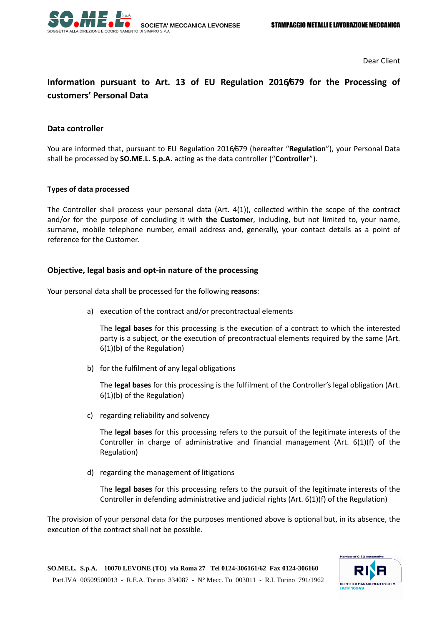

Dear Client

# **Information pursuant to Art. 13 of EU Regulation 2016/679 for the Processing of customers' Personal Data**

#### **Data controller**

You are informed that, pursuant to EU Regulation 2016/679 (hereafter "**Regulation**"), your Personal Data shall be processed by **SO.ME.L. S.p.A.** acting as the data controller ("**Controller**").

#### **Types of data processed**

The Controller shall process your personal data (Art. 4(1)), collected within the scope of the contract and/or for the purpose of concluding it with **the Customer**, including, but not limited to, your name, surname, mobile telephone number, email address and, generally, your contact details as a point of reference for the Customer.

#### **Objective, legal basis and opt-in nature of the processing**

Your personal data shall be processed for the following **reasons**:

a) execution of the contract and/or precontractual elements

The **legal bases** for this processing is the execution of a contract to which the interested party is a subject, or the execution of precontractual elements required by the same (Art. 6(1)(b) of the Regulation)

b) for the fulfilment of any legal obligations

The **legal bases** for this processing is the fulfilment of the Controller's legal obligation (Art. 6(1)(b) of the Regulation)

c) regarding reliability and solvency

The **legal bases** for this processing refers to the pursuit of the legitimate interests of the Controller in charge of administrative and financial management (Art. 6(1)(f) of the Regulation)

d) regarding the management of litigations

The **legal bases** for this processing refers to the pursuit of the legitimate interests of the Controller in defending administrative and judicial rights (Art. 6(1)(f) of the Regulation)

The provision of your personal data for the purposes mentioned above is optional but, in its absence, the execution of the contract shall not be possible.

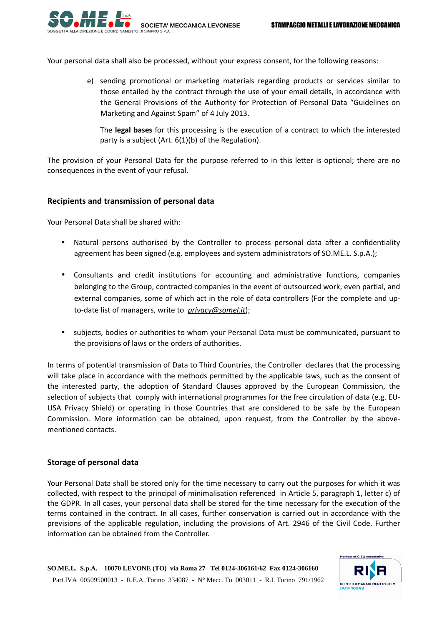

Your personal data shall also be processed, without your express consent, for the following reasons:

e) sending promotional or marketing materials regarding products or services similar to those entailed by the contract through the use of your email details, in accordance with the General Provisions of the Authority for Protection of Personal Data "Guidelines on Marketing and Against Spam" of 4 July 2013.

The **legal bases** for this processing is the execution of a contract to which the interested party is a subject (Art. 6(1)(b) of the Regulation).

The provision of your Personal Data for the purpose referred to in this letter is optional; there are no consequences in the event of your refusal.

## **Recipients and transmission of personal data**

Your Personal Data shall be shared with:

- Natural persons authorised by the Controller to process personal data after a confidentiality agreement has been signed (e.g. employees and system administrators of SO.ME.L. S.p.A.);
- Consultants and credit institutions for accounting and administrative functions, companies belonging to the Group, contracted companies in the event of outsourced work, even partial, and external companies, some of which act in the role of data controllers (For the complete and upto-date list of managers, write to *privacy@somel.it*);
- subjects, bodies or authorities to whom your Personal Data must be communicated, pursuant to the provisions of laws or the orders of authorities.

In terms of potential transmission of Data to Third Countries, the Controller declares that the processing will take place in accordance with the methods permitted by the applicable laws, such as the consent of the interested party, the adoption of Standard Clauses approved by the European Commission, the selection of subjects that comply with international programmes for the free circulation of data (e.g. EU-USA Privacy Shield) or operating in those Countries that are considered to be safe by the European Commission. More information can be obtained, upon request, from the Controller by the abovementioned contacts.

# **Storage of personal data**

Your Personal Data shall be stored only for the time necessary to carry out the purposes for which it was collected, with respect to the principal of minimalisation referenced in Article 5, paragraph 1, letter c) of the GDPR. In all cases, your personal data shall be stored for the time necessary for the execution of the terms contained in the contract. In all cases, further conservation is carried out in accordance with the previsions of the applicable regulation, including the provisions of Art. 2946 of the Civil Code. Further information can be obtained from the Controller.